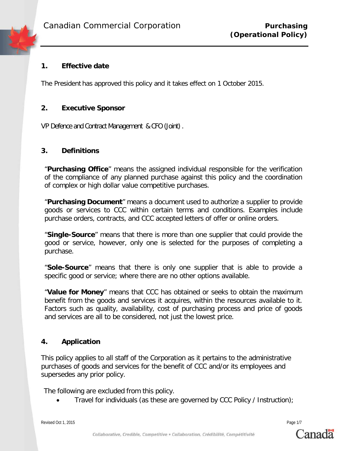## **1. Effective date**

The President has approved this policy and it takes effect on 1 October 2015.

### **2. Executive Sponsor**

VP Defence and Contract Management & CFO (Joint).

#### **3. Definitions**

"**Purchasing Office**" means the assigned individual responsible for the verification of the compliance of any planned purchase against this policy and the coordination of complex or high dollar value competitive purchases.

"**Purchasing Document**" means a document used to authorize a supplier to provide goods or services to CCC within certain terms and conditions. Examples include purchase orders, contracts, and CCC accepted letters of offer or online orders.

"**Single-Source**" means that there is more than one supplier that could provide the good or service, however, only one is selected for the purposes of completing a purchase.

"**Sole-Source**" means that there is only one supplier that is able to provide a specific good or service; where there are no other options available.

"**Value for Money**" means that CCC has obtained or seeks to obtain the maximum benefit from the goods and services it acquires, within the resources available to it. Factors such as quality, availability, cost of purchasing process and price of goods and services are all to be considered, not just the lowest price.

#### **4. Application**

This policy applies to all staff of the Corporation as it pertains to the administrative purchases of goods and services for the benefit of CCC and/or its employees and supersedes any prior policy.

The following are excluded from this policy.

• Travel for individuals (as these are governed by CCC Policy / Instruction);

Revised Oct 1, 2015 Page 1/7

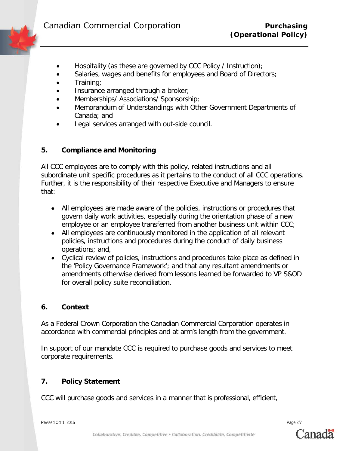- Hospitality (as these are governed by CCC Policy / Instruction);
- Salaries, wages and benefits for employees and Board of Directors;
- Training;
- Insurance arranged through a broker;
- Memberships/ Associations/ Sponsorship;
- Memorandum of Understandings with Other Government Departments of Canada; and
- Legal services arranged with out-side council.

# **5. Compliance and Monitoring**

All CCC employees are to comply with this policy, related instructions and all subordinate unit specific procedures as it pertains to the conduct of all CCC operations. Further, it is the responsibility of their respective Executive and Managers to ensure that:

- All employees are made aware of the policies, instructions or procedures that govern daily work activities, especially during the orientation phase of a new employee or an employee transferred from another business unit within CCC;
- All employees are continuously monitored in the application of all relevant policies, instructions and procedures during the conduct of daily business operations; and,
- Cyclical review of policies, instructions and procedures take place as defined in the 'Policy Governance Framework'; and that any resultant amendments or amendments otherwise derived from lessons learned be forwarded to VP S&OD for overall policy suite reconciliation.

#### **6. Context**

As a Federal Crown Corporation the Canadian Commercial Corporation operates in accordance with commercial principles and at arm's length from the government.

In support of our mandate CCC is required to purchase goods and services to meet corporate requirements.

# **7. Policy Statement**

CCC will purchase goods and services in a manner that is professional, efficient,

Revised Oct 1, 2015 Page 2/7

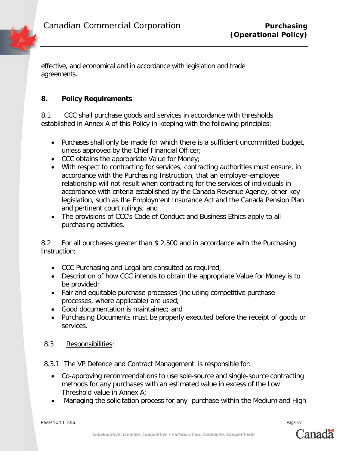effective, and economical and in accordance with legislation and trade agreements.

# **8. Policy Requirements**

8.1 CCC shall purchase goods and services in accordance with thresholds established in Annex A of this Policy in keeping with the following principles:

- Purchases shall only be made for which there is a sufficient uncommitted budget, unless approved by the Chief Financial Officer;
- CCC obtains the appropriate Value for Money;
- With respect to contracting for services, contracting authorities must ensure, in accordance with the Purchasing Instruction, that an employer-employee relationship will not result when contracting for the services of individuals in accordance with criteria established by the Canada Revenue Agency, other key legislation, such as the Employment Insurance Act and the Canada Pension Plan and pertinent court rulings; and
- The provisions of CCC's Code of Conduct and Business Ethics apply to all purchasing activities.

8.2 For all purchases greater than \$ 2,500 and in accordance with the Purchasing Instruction:

- CCC Purchasing and Legal are consulted as required;
- Description of how CCC intends to obtain the appropriate Value for Money is to be provided;
- Fair and equitable purchase processes (including competitive purchase processes, where applicable) are used;
- Good documentation is maintained; and
- Purchasing Documents must be properly executed before the receipt of goods or services.
- 8.3 Responsibilities:
- 8.3.1 The VP Defence and Contract Management is responsible for:
	- Co-approving recommendations to use sole-source and single-source contracting methods for any purchases with an estimated value in excess of the Low Threshold value in Annex A;
	- Managing the solicitation process for any purchase within the Medium and High

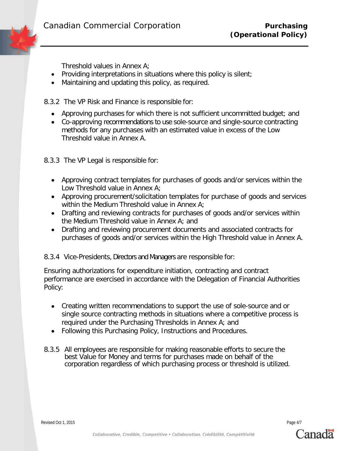Threshold values in Annex A;

- Providing interpretations in situations where this policy is silent;
- Maintaining and updating this policy, as required.

8.3.2 The VP Risk and Finance is responsible for:

- Approving purchases for which there is not sufficient uncommitted budget; and
- Co-approving recommendations to use sole-source and single-source contracting methods for any purchases with an estimated value in excess of the Low Threshold value in Annex A.
- 8.3.3 The VP Legal is responsible for:
	- Approving contract templates for purchases of goods and/or services within the Low Threshold value in Annex A;
	- Approving procurement/solicitation templates for purchase of goods and services within the Medium Threshold value in Annex A;
	- Drafting and reviewing contracts for purchases of goods and/or services within the Medium Threshold value in Annex A; and
	- Drafting and reviewing procurement documents and associated contracts for purchases of goods and/or services within the High Threshold value in Annex A.

8.3.4 Vice-Presidents, Directors and Managers are responsible for:

Ensuring authorizations for expenditure initiation, contracting and contract performance are exercised in accordance with the Delegation of Financial Authorities Policy:

- Creating written recommendations to support the use of sole-source and or single source contracting methods in situations where a competitive process is required under the Purchasing Thresholds in Annex A; and
- Following this Purchasing Policy, Instructions and Procedures.
- 8.3.5 All employees are responsible for making reasonable efforts to secure the best Value for Money and terms for purchases made on behalf of the corporation regardless of which purchasing process or threshold is utilized.

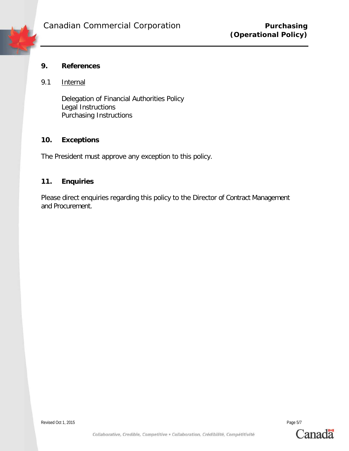

# **9. References**

## 9.1 Internal

Delegation of Financial Authorities Policy Legal Instructions Purchasing Instructions

## **10. Exceptions**

The President must approve any exception to this policy.

# **11. Enquiries**

Please direct enquiries regarding this policy to the Director of Contract Management and Procurement.

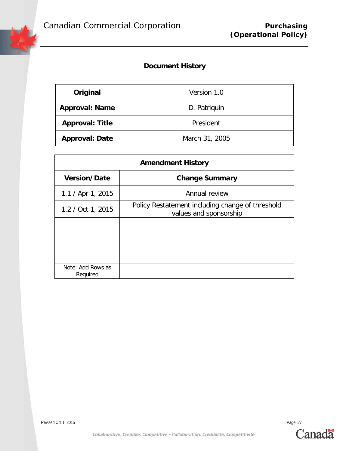# **Document History**

| Original               | Version 1.0    |
|------------------------|----------------|
| <b>Approval: Name</b>  | D. Patriguin   |
| <b>Approval: Title</b> | President      |
| <b>Approval: Date</b>  | March 31, 2005 |

| <b>Amendment History</b>      |                                                                            |  |  |
|-------------------------------|----------------------------------------------------------------------------|--|--|
| <b>Version/Date</b>           | <b>Change Summary</b>                                                      |  |  |
| $1.1 /$ Apr 1, 2015           | Annual review                                                              |  |  |
| 1.2 / Oct 1, 2015             | Policy Restatement including change of threshold<br>values and sponsorship |  |  |
|                               |                                                                            |  |  |
|                               |                                                                            |  |  |
|                               |                                                                            |  |  |
| Note: Add Rows as<br>Required |                                                                            |  |  |